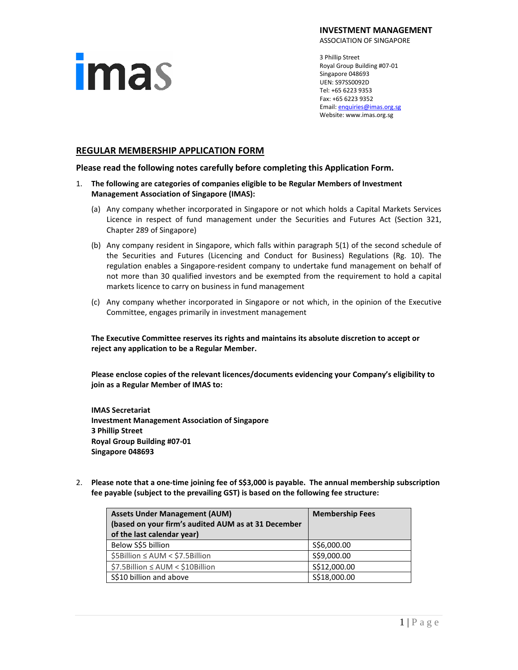# **imas**

**INVESTMENT MANAGEMENT**

ASSOCIATION OF SINGAPORE

3 Phillip Street Royal Group Building #07-01 Singapore 048693 UEN: S97SS0092D Tel: +65 6223 9353 Fax: +65 6223 9352 Email[: enquiries@imas.org.sg](mailto:enquiries@imas.org.sg) Website: www.imas.org.sg

# **REGULAR MEMBERSHIP APPLICATION FORM**

**Please read the following notes carefully before completing this Application Form.**

- 1. **The following are categories of companies eligible to be Regular Members of Investment Management Association of Singapore (IMAS):**
	- (a) Any company whether incorporated in Singapore or not which holds a Capital Markets Services Licence in respect of fund management under the Securities and Futures Act (Section 321, Chapter 289 of Singapore)
	- (b) Any company resident in Singapore, which falls within paragraph 5(1) of the second schedule of the Securities and Futures (Licencing and Conduct for Business) Regulations (Rg. 10). The regulation enables a Singapore-resident company to undertake fund management on behalf of not more than 30 qualified investors and be exempted from the requirement to hold a capital markets licence to carry on business in fund management
	- (c) Any company whether incorporated in Singapore or not which, in the opinion of the Executive Committee, engages primarily in investment management

**The Executive Committee reserves its rights and maintains its absolute discretion to accept or reject any application to be a Regular Member.**

**Please enclose copies of the relevant licences/documents evidencing your Company's eligibility to join as a Regular Member of IMAS to:**

**IMAS Secretariat Investment Management Association of Singapore 3 Phillip Street Royal Group Building #07-01 Singapore 048693**

2. **Please note that a one-time joining fee of S\$3,000 is payable. The annual membership subscription fee payable (subject to the prevailing GST) is based on the following fee structure:**

| <b>Assets Under Management (AUM)</b>                | <b>Membership Fees</b> |  |
|-----------------------------------------------------|------------------------|--|
| (based on your firm's audited AUM as at 31 December |                        |  |
| of the last calendar year)                          |                        |  |
| Below S\$5 billion                                  | S\$6,000.00            |  |
| \$5Billion ≤ AUM < \$7.5Billion                     | S\$9,000.00            |  |
| \$7.5Billion ≤ AUM < \$10Billion                    | S\$12,000.00           |  |
| S\$10 billion and above                             | S\$18,000.00           |  |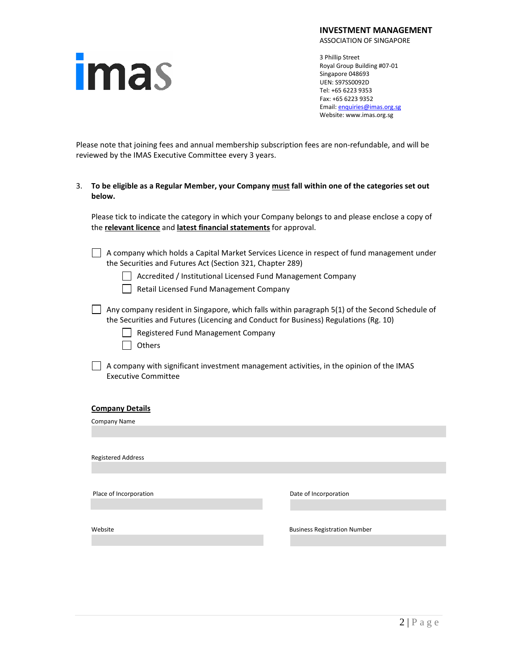| <b>Imas</b> |
|-------------|

ASSOCIATION OF SINGAPORE

3 Phillip Street Royal Group Building #07-01 Singapore 048693 UEN: S97SS0092D Tel: +65 6223 9353 Fax: +65 6223 9352 Email[: enquiries@imas.org.sg](mailto:enquiries@imas.org.sg) Website: www.imas.org.sg

Please note that joining fees and annual membership subscription fees are non-refundable, and will be reviewed by the IMAS Executive Committee every 3 years.

# 3. **To be eligible as a Regular Member, your Company must fall within one of the categories set out below.**

Please tick to indicate the category in which your Company belongs to and please enclose a copy of the **relevant licence** and **latest financial statements** for approval.

A company which holds a Capital Market Services Licence in respect of fund management under the Securities and Futures Act (Section 321, Chapter 289)

| | Accredited / Institutional Licensed Fund Management Company

Retail Licensed Fund Management Company

- $\Box$  Any company resident in Singapore, which falls within paragraph 5(1) of the Second Schedule of the Securities and Futures (Licencing and Conduct for Business) Regulations (Rg. 10)
	- Registered Fund Management Company
		- **Others**
- $\Box$  A company with significant investment management activities, in the opinion of the IMAS Executive Committee

#### **Company Details**

Company Name Registered Address Place of Incorporation Date of Incorporation Website **Business Registration Number Business Registration Number**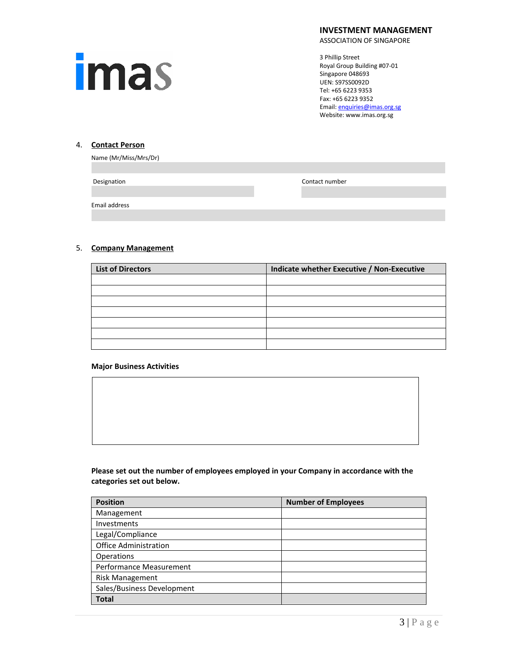

ASSOCIATION OF SINGAPORE

3 Phillip Street Royal Group Building #07-01 Singapore 048693 UEN: S97SS0092D Tel: +65 6223 9353 Fax: +65 6223 9352 Email[: enquiries@imas.org.sg](mailto:enquiries@imas.org.sg) Website: www.imas.org.sg

# 4. **Contact Person**

|  | Name (Mr/Miss/Mrs/Dr) |
|--|-----------------------|
|--|-----------------------|

**Designation Contact number** 

Email address

# 5. **Company Management**

| <b>List of Directors</b> | Indicate whether Executive / Non-Executive |
|--------------------------|--------------------------------------------|
|                          |                                            |
|                          |                                            |
|                          |                                            |
|                          |                                            |
|                          |                                            |
|                          |                                            |
|                          |                                            |

#### **Major Business Activities**

**Please set out the number of employees employed in your Company in accordance with the categories set out below.**

| <b>Position</b>              | <b>Number of Employees</b> |
|------------------------------|----------------------------|
| Management                   |                            |
| Investments                  |                            |
| Legal/Compliance             |                            |
| <b>Office Administration</b> |                            |
| Operations                   |                            |
| Performance Measurement      |                            |
| <b>Risk Management</b>       |                            |
| Sales/Business Development   |                            |
| <b>Total</b>                 |                            |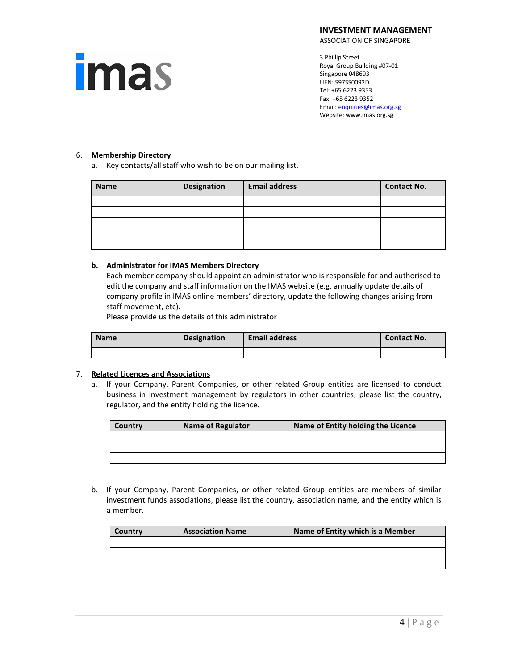**imas** 

ASSOCIATION OF SINGAPORE

3 Phillip Street Royal Group Building #07-01 Singapore 048693 UEN: S97SS0092D Tel: +65 6223 9353 Fax: +65 6223 9352 Email[: enquiries@imas.org.sg](mailto:enquiries@imas.org.sg) Website: www.imas.org.sg

### 6. **Membership Directory**

a. Key contacts/all staff who wish to be on our mailing list.

| Name | Designation | <b>Email address</b> | <b>Contact No.</b> |
|------|-------------|----------------------|--------------------|
|      |             |                      |                    |
|      |             |                      |                    |
|      |             |                      |                    |
|      |             |                      |                    |
|      |             |                      |                    |

# **b. Administrator for IMAS Members Directory**

Each member company should appoint an administrator who is responsible for and authorised to edit the company and staff information on the IMAS website (e.g. annually update details of company profile in IMAS online members' directory, update the following changes arising from staff movement, etc).

Please provide us the details of this administrator

| <b>Name</b> | <b>Designation</b> | <b>Email address</b> | Contact No. |
|-------------|--------------------|----------------------|-------------|
|             |                    |                      |             |

# 7. **Related Licences and Associations**

a. If your Company, Parent Companies, or other related Group entities are licensed to conduct business in investment management by regulators in other countries, please list the country, regulator, and the entity holding the licence.

| Country | Name of Regulator | Name of Entity holding the Licence |
|---------|-------------------|------------------------------------|
|         |                   |                                    |
|         |                   |                                    |
|         |                   |                                    |

b. If your Company, Parent Companies, or other related Group entities are members of similar investment funds associations, please list the country, association name, and the entity which is a member.

| Country | <b>Association Name</b> | Name of Entity which is a Member |
|---------|-------------------------|----------------------------------|
|         |                         |                                  |
|         |                         |                                  |
|         |                         |                                  |